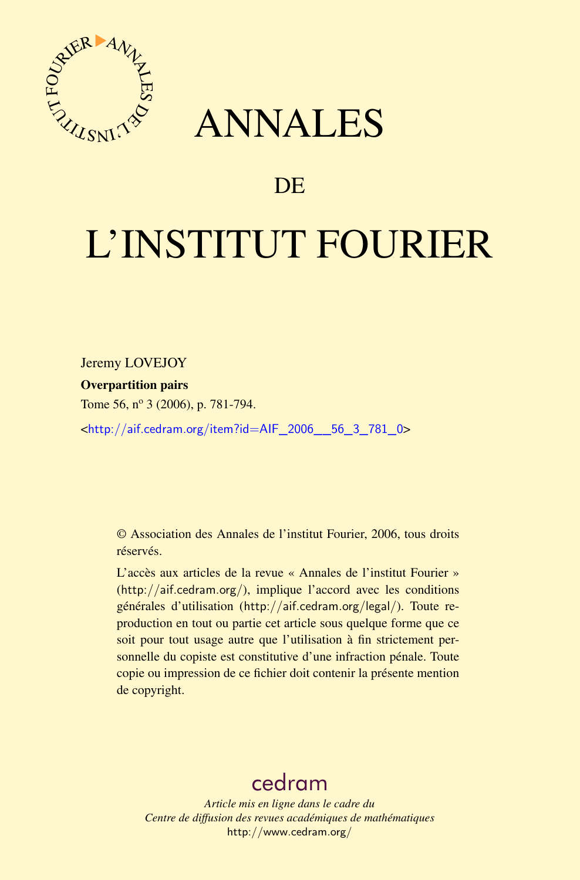

## ANNALES

### **DE**

# L'INSTITUT FOURIER

Jeremy LOVEJOY

#### Overpartition pairs

Tome 56, nº 3 (2006), p. 781-794.

<[http://aif.cedram.org/item?id=AIF\\_2006\\_\\_56\\_3\\_781\\_0](http://aif.cedram.org/item?id=AIF_2006__56_3_781_0)>

© Association des Annales de l'institut Fourier, 2006, tous droits réservés.

L'accès aux articles de la revue « Annales de l'institut Fourier » (<http://aif.cedram.org/>), implique l'accord avec les conditions générales d'utilisation (<http://aif.cedram.org/legal/>). Toute reproduction en tout ou partie cet article sous quelque forme que ce soit pour tout usage autre que l'utilisation à fin strictement personnelle du copiste est constitutive d'une infraction pénale. Toute copie ou impression de ce fichier doit contenir la présente mention de copyright.

## [cedram](http://www.cedram.org/)

*Article mis en ligne dans le cadre du Centre de diffusion des revues académiques de mathématiques* <http://www.cedram.org/>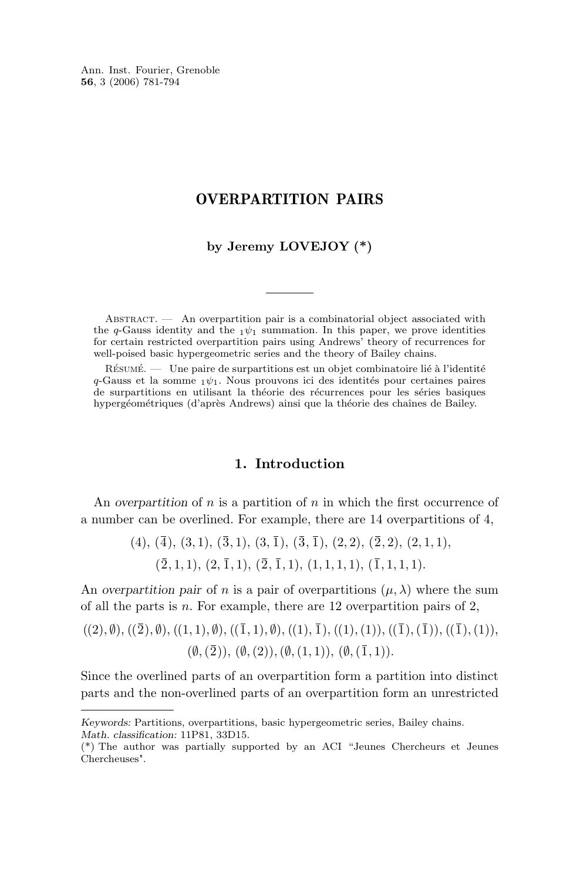Ann. Inst. Fourier, Grenoble **56**, 3 (2006) 781-794

#### OVERPARTITION PAIRS

#### **by Jeremy LOVEJOY (\*)**

ABSTRACT.  $\qquad$  An overpartition pair is a combinatorial object associated with the q-Gauss identity and the  $1\psi_1$  summation. In this paper, we prove identities for certain restricted overpartition pairs using Andrews' theory of recurrences for well-poised basic hypergeometric series and the theory of Bailey chains.

Résumé. — Une paire de surpartitions est un objet combinatoire lié à l'identité q-Gauss et la somme  $_1\psi_1$ . Nous prouvons ici des identités pour certaines paires de surpartitions en utilisant la théorie des récurrences pour les séries basiques hypergéométriques (d'après Andrews) ainsi que la théorie des chaînes de Bailey.

#### **1. Introduction**

An *overpartition* of  $n$  is a partition of  $n$  in which the first occurrence of a number can be overlined. For example, there are 14 overpartitions of 4,

> $(4), (\overline{4}), (3,1), (\overline{3},1), (3,\overline{1}), (\overline{3},\overline{1}), (2,2), (\overline{2},2), (2,1,1),$  $(\overline{2}, 1, 1), (2, \overline{1}, 1), (\overline{2}, \overline{1}, 1), (1, 1, 1, 1), (\overline{1}, 1, 1, 1).$

An *overpartition pair* of *n* is a pair of overpartitions  $(\mu, \lambda)$  where the sum of all the parts is n. For example, there are 12 overpartition pairs of 2,

$$
((2), \emptyset), ((\overline{2}), \emptyset), ((1, 1), \emptyset), ((\overline{1}, 1), \emptyset), ((1), \overline{1}), ((1), (1)), ((\overline{1}), (\overline{1})), ((\overline{1}), (1)), ((\emptyset, (\overline{2})), (\emptyset, (2)), (\emptyset, (1, 1)), (\emptyset, (\overline{1}, 1)).
$$

Since the overlined parts of an overpartition form a partition into distinct parts and the non-overlined parts of an overpartition form an unrestricted

*Keywords:* Partitions, overpartitions, basic hypergeometric series, Bailey chains. *Math. classification:* 11P81, 33D15.

<sup>(\*)</sup> The author was partially supported by an ACI "Jeunes Chercheurs et Jeunes Chercheuses".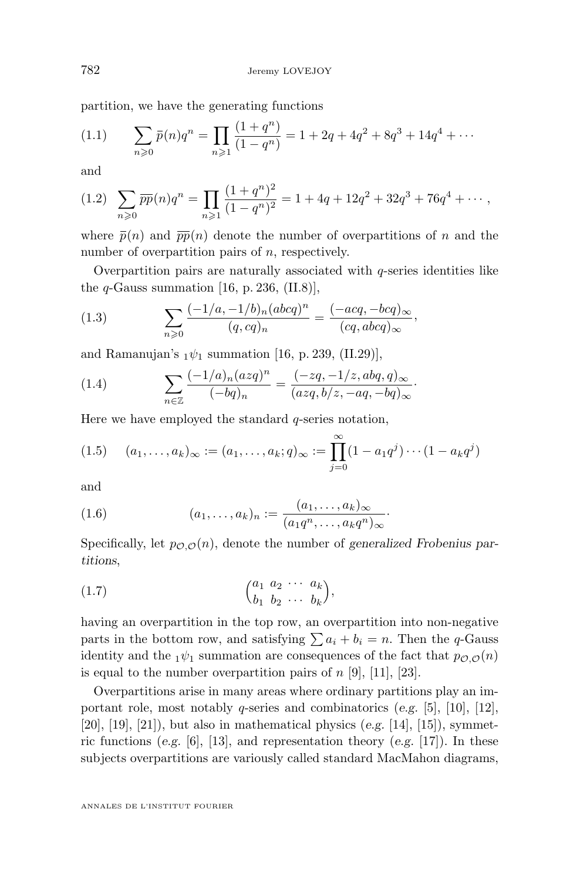<span id="page-2-0"></span>partition, we have the generating functions

$$
(1.1) \qquad \sum_{n\geqslant 0} \bar{p}(n)q^n = \prod_{n\geqslant 1} \frac{(1+q^n)}{(1-q^n)} = 1 + 2q + 4q^2 + 8q^3 + 14q^4 + \cdots
$$

and

$$
(1.2)\quad \sum_{n\geqslant 0} \overline{pp}(n)q^n = \prod_{n\geqslant 1} \frac{(1+q^n)^2}{(1-q^n)^2} = 1 + 4q + 12q^2 + 32q^3 + 76q^4 + \cdots,
$$

where  $\bar{p}(n)$  and  $\bar{p}\bar{p}(n)$  denote the number of overpartitions of n and the number of overpartition pairs of n, respectively.

Overpartition pairs are naturally associated with  $q$ -series identities like the  $q$ -Gauss summation [\[16,](#page-14-0) p. 236, (II.8)],

(1.3) 
$$
\sum_{n\geqslant 0} \frac{(-1/a, -1/b)_n (abcd)^n}{(q, cq)_n} = \frac{(-acq, -bcq)_{\infty}}{(cq, abcq)_{\infty}},
$$

and Ramanujan's  $_1\psi_1$  summation [\[16,](#page-14-0) p. 239, (II.29)],

(1.4) 
$$
\sum_{n \in \mathbb{Z}} \frac{(-1/a)_n (azq)^n}{(-bq)_n} = \frac{(-zq, -1/z, abq, q)_{\infty}}{(azq, b/z, -aq, -bq)_{\infty}}.
$$

Here we have employed the standard  $q$ -series notation,

$$
(1.5) \quad (a_1, \ldots, a_k)_{\infty} := (a_1, \ldots, a_k; q)_{\infty} := \prod_{j=0}^{\infty} (1 - a_1 q^j) \cdots (1 - a_k q^j)
$$

and

(1.6) 
$$
(a_1, ..., a_k)_n := \frac{(a_1, ..., a_k)_{\infty}}{(a_1 q^n, ..., a_k q^n)_{\infty}}.
$$

Specifically, let  $p_{\mathcal{O},\mathcal{O}}(n)$ , denote the number of *generalized Frobenius partitions*,

$$
(1.7) \qquad \qquad \begin{pmatrix} a_1 & a_2 & \cdots & a_k \\ b_1 & b_2 & \cdots & b_k \end{pmatrix},
$$

having an overpartition in the top row, an overpartition into non-negative parts in the bottom row, and satisfying  $\sum a_i + b_i = n$ . Then the q-Gauss identity and the  $_1\psi_1$  summation are consequences of the fact that  $p_{\mathcal{O},\mathcal{O}}(n)$ is equal to the number overpartition pairs of  $n$  [\[9\]](#page-13-0), [\[11\]](#page-13-0), [\[23\]](#page-14-0).

Overpartitions arise in many areas where ordinary partitions play an important role, most notably q-series and combinatorics (*e.g.* [\[5\]](#page-13-0), [\[10\]](#page-13-0), [\[12\]](#page-13-0), [\[20\]](#page-14-0), [\[19\]](#page-14-0), [\[21\]](#page-14-0)), but also in mathematical physics (*e.g.* [\[14\]](#page-13-0), [\[15\]](#page-13-0)), symmetric functions (*e.g.* [\[6\]](#page-13-0), [\[13\]](#page-13-0), and representation theory (*e.g.* [\[17\]](#page-14-0)). In these subjects overpartitions are variously called standard MacMahon diagrams,

ANNALES DE L'INSTITUT FOURIER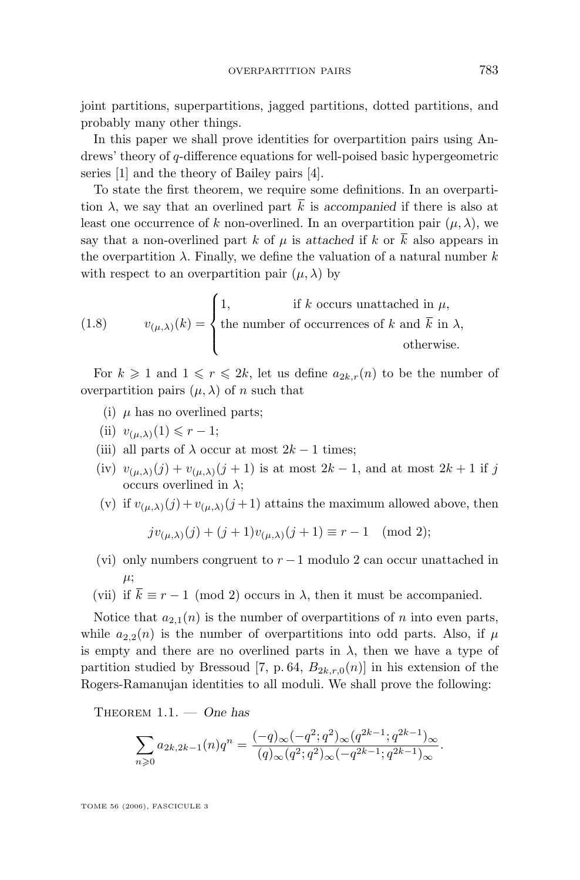<span id="page-3-0"></span>joint partitions, superpartitions, jagged partitions, dotted partitions, and probably many other things.

In this paper we shall prove identities for overpartition pairs using Andrews' theory of q-difference equations for well-poised basic hypergeometric series [\[1\]](#page-13-0) and the theory of Bailey pairs [\[4\]](#page-13-0).

To state the first theorem, we require some definitions. In an overpartition  $\lambda$ , we say that an overlined part  $\overline{k}$  is *accompanied* if there is also at least one occurrence of k non-overlined. In an overpartition pair  $(\mu, \lambda)$ , we say that a non-overlined part k of  $\mu$  is *attached* if k or  $\overline{k}$  also appears in the overpartition  $\lambda$ . Finally, we define the valuation of a natural number k with respect to an overpartition pair  $(\mu, \lambda)$  by

(1.8) 
$$
v_{(\mu,\lambda)}(k) = \begin{cases} 1, & \text{if } k \text{ occurs unattached in } \mu, \\ \text{the number of occurrences of } k \text{ and } \overline{k} \text{ in } \lambda, \\ & \text{otherwise.} \end{cases}
$$

For  $k \geq 1$  and  $1 \leq r \leq 2k$ , let us define  $a_{2k,r}(n)$  to be the number of overpartition pairs  $(\mu, \lambda)$  of n such that

- (i)  $\mu$  has no overlined parts;
- (ii)  $v_{(\mu,\lambda)}(1) \leqslant r-1;$
- (iii) all parts of  $\lambda$  occur at most  $2k 1$  times;
- (iv)  $v_{(\mu,\lambda)}(j) + v_{(\mu,\lambda)}(j+1)$  is at most  $2k-1$ , and at most  $2k+1$  if j occurs overlined in  $\lambda$ ;
- (v) if  $v_{(\mu,\lambda)}(j) + v_{(\mu,\lambda)}(j+1)$  attains the maximum allowed above, then

$$
jv_{(\mu,\lambda)}(j) + (j+1)v_{(\mu,\lambda)}(j+1) \equiv r-1 \pmod{2};
$$

(vi) only numbers congruent to  $r-1$  modulo 2 can occur unattached in  $\mu;$ 

(vii) if  $\overline{k} \equiv r - 1 \pmod{2}$  occurs in  $\lambda$ , then it must be accompanied.

Notice that  $a_{2,1}(n)$  is the number of overpartitions of n into even parts, while  $a_{2,2}(n)$  is the number of overpartitions into odd parts. Also, if  $\mu$ is empty and there are no overlined parts in  $\lambda$ , then we have a type of partition studied by Bressoud [\[7,](#page-13-0) p. 64,  $B_{2k,r,0}(n)$ ] in his extension of the Rogers-Ramanujan identities to all moduli. We shall prove the following:

Theorem 1.1. — *One has*

$$
\sum_{n\geqslant 0}a_{2k,2k-1}(n)q^n = \frac{(-q)_{\infty}(-q^2;q^2)_{\infty}(q^{2k-1};q^{2k-1})_{\infty}}{(q)_{\infty}(q^2;q^2)_{\infty}(-q^{2k-1};q^{2k-1})_{\infty}}.
$$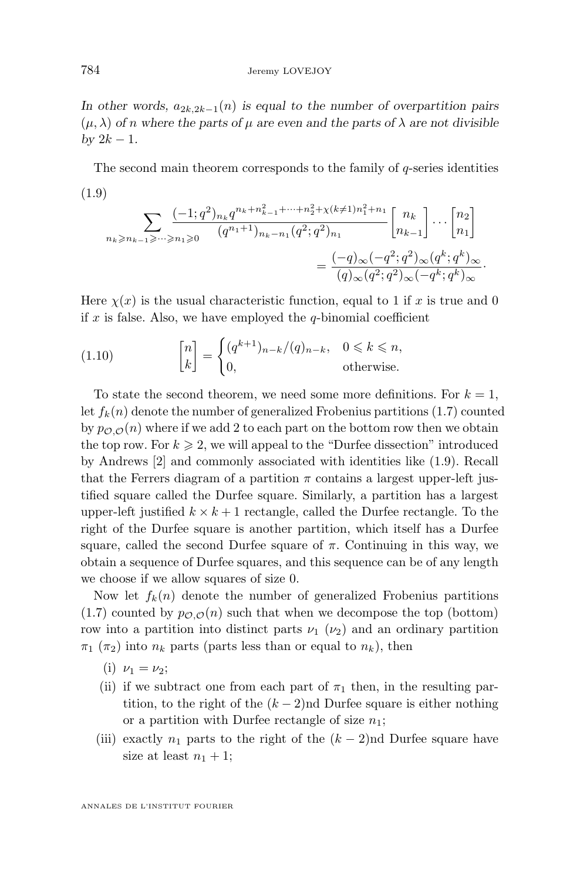<span id="page-4-0"></span>In other words,  $a_{2k,2k-1}(n)$  *is equal to the number of overpartition pairs*  $(\mu, \lambda)$  *of n* where the parts of  $\mu$  are even and the parts of  $\lambda$  are not divisible *by*  $2k - 1$ *.* 

The second main theorem corresponds to the family of  $q$ -series identities (1.9)

$$
\sum_{n_k \ge n_{k-1} \ge \dots \ge n_1 \ge 0} \frac{(-1;q^2)_{n_k} q^{n_k + n_{k-1}^2 + \dots + n_2^2 + \chi(k \neq 1) n_1^2 + n_1}}{(q^{n_1+1})_{n_k - n_1} (q^2;q^2)_{n_1}} \begin{bmatrix} n_k \\ n_{k-1} \end{bmatrix} \dots \begin{bmatrix} n_2 \\ n_1 \end{bmatrix}
$$

$$
= \frac{(-q)_{\infty} (-q^2;q^2)_{\infty} (q^k;q^k)_{\infty}}{(q)_{\infty} (q^2;q^2)_{\infty} (-q^k;q^k)_{\infty}}.
$$

Here  $\chi(x)$  is the usual characteristic function, equal to 1 if x is true and 0 if x is false. Also, we have employed the  $q$ -binomial coefficient

(1.10) 
$$
\begin{bmatrix} n \\ k \end{bmatrix} = \begin{cases} (q^{k+1})_{n-k}/(q)_{n-k}, & 0 \leq k \leq n, \\ 0, & \text{otherwise.} \end{cases}
$$

To state the second theorem, we need some more definitions. For  $k = 1$ , let  $f_k(n)$  denote the number of generalized Frobenius partitions [\(1.7\)](#page-2-0) counted by  $p_{\mathcal{O},\mathcal{O}}(n)$  where if we add 2 to each part on the bottom row then we obtain the top row. For  $k \geq 2$ , we will appeal to the "Durfee dissection" introduced by Andrews [\[2\]](#page-13-0) and commonly associated with identities like (1.9). Recall that the Ferrers diagram of a partition  $\pi$  contains a largest upper-left justified square called the Durfee square. Similarly, a partition has a largest upper-left justified  $k \times k + 1$  rectangle, called the Durfee rectangle. To the right of the Durfee square is another partition, which itself has a Durfee square, called the second Durfee square of  $\pi$ . Continuing in this way, we obtain a sequence of Durfee squares, and this sequence can be of any length we choose if we allow squares of size 0.

Now let  $f_k(n)$  denote the number of generalized Frobenius partitions  $(1.7)$  counted by  $p_{\mathcal{O},\mathcal{O}}(n)$  such that when we decompose the top (bottom) row into a partition into distinct parts  $\nu_1$  ( $\nu_2$ ) and an ordinary partition  $\pi_1$  ( $\pi_2$ ) into  $n_k$  parts (parts less than or equal to  $n_k$ ), then

- (i)  $\nu_1 = \nu_2;$
- (ii) if we subtract one from each part of  $\pi_1$  then, in the resulting partition, to the right of the  $(k-2)$ nd Durfee square is either nothing or a partition with Durfee rectangle of size  $n_1$ ;
- (iii) exactly  $n_1$  parts to the right of the  $(k-2)$ nd Durfee square have size at least  $n_1 + 1$ ;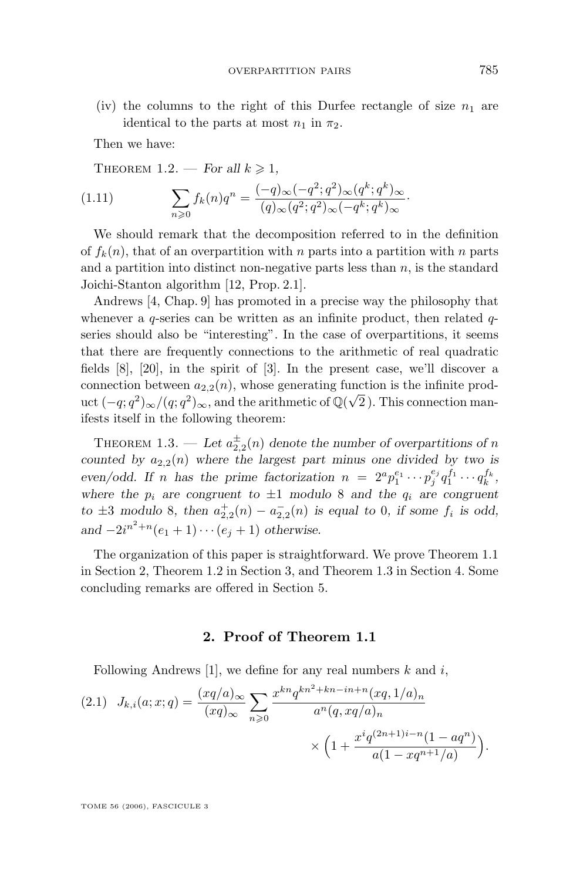<span id="page-5-0"></span>(iv) the columns to the right of this Durfee rectangle of size  $n_1$  are identical to the parts at most  $n_1$  in  $\pi_2$ .

Then we have:

THEOREM 1.2. — *For all*  $k \geq 1$ ,

(1.11) 
$$
\sum_{n\geqslant 0} f_k(n)q^n = \frac{(-q)_{\infty}(-q^2;q^2)_{\infty}(q^k;q^k)_{\infty}}{(q)_{\infty}(q^2;q^2)_{\infty}(-q^k;q^k)_{\infty}}.
$$

We should remark that the decomposition referred to in the definition of  $f_k(n)$ , that of an overpartition with n parts into a partition with n parts and a partition into distinct non-negative parts less than  $n$ , is the standard Joichi-Stanton algorithm [\[12,](#page-13-0) Prop. 2.1].

Andrews [\[4,](#page-13-0) Chap. 9] has promoted in a precise way the philosophy that whenever a  $q$ -series can be written as an infinite product, then related  $q$ series should also be "interesting". In the case of overpartitions, it seems that there are frequently connections to the arithmetic of real quadratic fields [\[8\]](#page-13-0), [\[20\]](#page-14-0), in the spirit of [\[3\]](#page-13-0). In the present case, we'll discover a connection between  $a_{2,2}(n)$ , whose generating function is the infinite product  $(-q;q^2)_{\infty}/(q;q^2)_{\infty}$ , and the arithmetic of  $\mathbb{Q}(\sqrt{2})$ . This connection manifests itself in the following theorem:

THEOREM 1.3. — Let  $a_{2,2}^{\pm}(n)$  denote the number of overpartitions of n *counted by*  $a_{2,2}(n)$  *where the largest part minus one divided by two is* even/odd. If *n* has the prime factorization  $n = 2^a p_1^{e_1} \cdots p_j^{e_j} q_1^{f_1} \cdots q_k^{f_k}$ , where the  $p_i$  are congruent to  $\pm 1$  modulo 8 and the  $q_i$  are congruent *to*  $\pm 3$  *modulo* 8*, then*  $a_{2,2}^+(n) - a_{2,2}^-(n)$  *is equal to* 0*, if some*  $f_i$  *is odd,*  $and -2i^{n^2+n}(e_1 + 1) \cdots (e_j + 1)$  *otherwise.* 

The organization of this paper is straightforward. We prove Theorem [1.1](#page-3-0) in Section 2, Theorem 1.2 in Section 3, and Theorem 1.3 in Section 4. Some concluding remarks are offered in Section 5.

#### **2. Proof of Theorem [1.1](#page-3-0)**

Following Andrews [\[1\]](#page-13-0), we define for any real numbers  $k$  and  $i$ ,

$$
(2.1) \quad J_{k,i}(a;x;q) = \frac{(xq/a)_{\infty}}{(xq)_{\infty}} \sum_{n\geqslant 0} \frac{x^{kn} q^{kn^2 + kn - in + n} (xq, 1/a)_n}{a^n (q, xq/a)_n} \times \left(1 + \frac{x^i q^{(2n+1)i - n} (1 - aq^n)}{a(1 - xq^{n+1}/a)}\right).
$$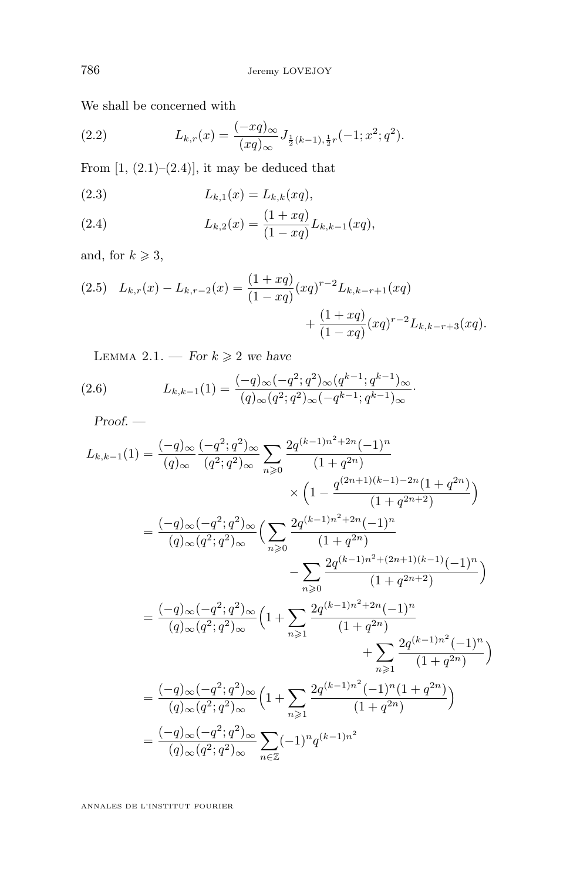<span id="page-6-0"></span>We shall be concerned with

(2.2) 
$$
L_{k,r}(x) = \frac{(-xq)_{\infty}}{(xq)_{\infty}} J_{\frac{1}{2}(k-1),\frac{1}{2}r}(-1; x^2; q^2).
$$

From  $[1, (2.1)–(2.4)]$  $[1, (2.1)–(2.4)]$ , it may be deduced that

(2.3) 
$$
L_{k,1}(x) = L_{k,k}(xq),
$$

(2.4) 
$$
L_{k,2}(x) = \frac{(1+xq)}{(1-xq)} L_{k,k-1}(xq),
$$

and, for  $k \geqslant 3$ ,

(2.5) 
$$
L_{k,r}(x) - L_{k,r-2}(x) = \frac{(1+ xq)}{(1-xq)} (xq)^{r-2} L_{k,k-r+1}(xq) + \frac{(1+xq)}{(1-xq)} (xq)^{r-2} L_{k,k-r+3}(xq).
$$

LEMMA 2.1. — *For*  $k \geq 2$  *we have* 

(2.6) 
$$
L_{k,k-1}(1) = \frac{(-q)_{\infty}(-q^2;q^2)_{\infty}(q^{k-1};q^{k-1})_{\infty}}{(q)_{\infty}(q^2;q^2)_{\infty}(-q^{k-1};q^{k-1})_{\infty}}.
$$

*Proof. —*

$$
L_{k,k-1}(1) = \frac{(-q)_{\infty}}{(q)_{\infty}} \frac{(-q^2;q^2)_{\infty}}{(q^2;q^2)_{\infty}} \sum_{n\geqslant 0} \frac{2q^{(k-1)n^2+2n}(-1)^n}{(1+q^{2n})}
$$
  
\n
$$
\times \left(1 - \frac{q^{(2n+1)(k-1)-2n}(1+q^{2n})}{(1+q^{2n+2})}\right)
$$
  
\n
$$
= \frac{(-q)_{\infty}(-q^2;q^2)_{\infty}}{(q)_{\infty}(q^2;q^2)_{\infty}} \left(\sum_{n\geqslant 0} \frac{2q^{(k-1)n^2+2n}(-1)^n}{(1+q^{2n})}\right)
$$
  
\n
$$
- \sum_{n\geqslant 0} \frac{2q^{(k-1)n^2+(2n+1)(k-1)}(-1)^n}{(1+q^{2n+2})}\right)
$$
  
\n
$$
= \frac{(-q)_{\infty}(-q^2;q^2)_{\infty}}{(q)_{\infty}(q^2;q^2)_{\infty}} \left(1 + \sum_{n\geqslant 1} \frac{2q^{(k-1)n^2+2n}(-1)^n}{(1+q^{2n})}\right)
$$
  
\n
$$
+ \sum_{n\geqslant 1} \frac{2q^{(k-1)n^2}(-1)^n}{(1+q^{2n})}\right)
$$
  
\n
$$
= \frac{(-q)_{\infty}(-q^2;q^2)_{\infty}}{(q)_{\infty}(q^2;q^2)_{\infty}} \left(1 + \sum_{n\geqslant 1} \frac{2q^{(k-1)n^2}(-1)^n(1+q^{2n})}{(1+q^{2n})}\right)
$$
  
\n
$$
= \frac{(-q)_{\infty}(-q^2;q^2)_{\infty}}{(q)_{\infty}(q^2;q^2)_{\infty}} \sum_{n\in\mathbb{Z}} (-1)^n q^{(k-1)n^2}
$$

ANNALES DE L'INSTITUT FOURIER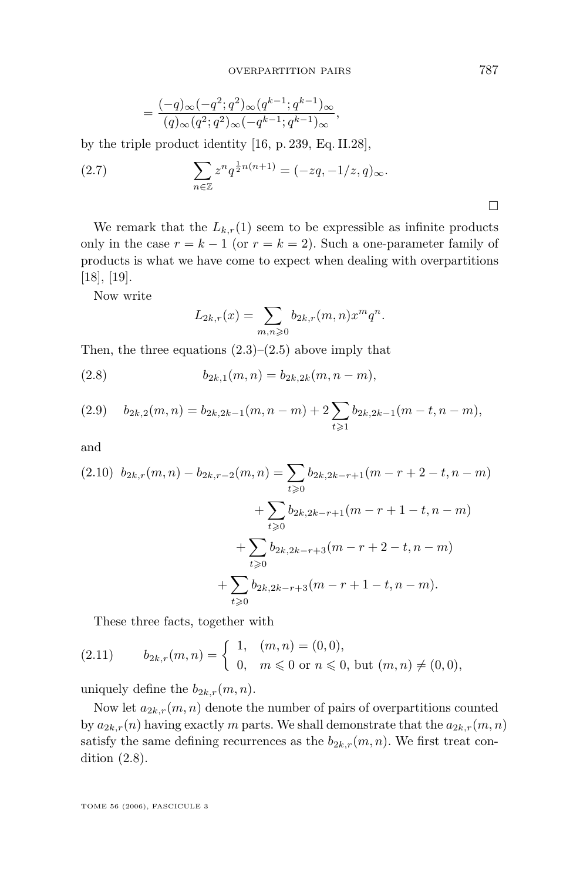$$
=\frac{(-q)_{\infty}(-q^2;q^2)_{\infty}(q^{k-1};q^{k-1})_{\infty}}{(q)_{\infty}(q^2;q^2)_{\infty}(-q^{k-1};q^{k-1})_{\infty}},
$$

<span id="page-7-0"></span>by the triple product identity [\[16,](#page-14-0) p. 239, Eq. II.28],

(2.7) 
$$
\sum_{n \in \mathbb{Z}} z^n q^{\frac{1}{2}n(n+1)} = (-zq, -1/z, q)_{\infty}.
$$

We remark that the  $L_{k,r}(1)$  seem to be expressible as infinite products only in the case  $r = k - 1$  (or  $r = k = 2$ ). Such a one-parameter family of products is what we have come to expect when dealing with overpartitions [\[18\]](#page-14-0), [\[19\]](#page-14-0).

Now write

$$
L_{2k,r}(x) = \sum_{m,n \geqslant 0} b_{2k,r}(m,n) x^m q^n.
$$

Then, the three equations  $(2.3)$ – $(2.5)$  above imply that

(2.8) 
$$
b_{2k,1}(m,n) = b_{2k,2k}(m,n-m),
$$

$$
(2.9) \t b_{2k,2}(m,n) = b_{2k,2k-1}(m,n-m) + 2 \sum_{t \geq 1} b_{2k,2k-1}(m-t,n-m),
$$

and

$$
(2.10) \ b_{2k,r}(m,n) - b_{2k,r-2}(m,n) = \sum_{t \geq 0} b_{2k,2k-r+1}(m-r+2-t,n-m) + \sum_{t \geq 0} b_{2k,2k-r+1}(m-r+1-t,n-m) + \sum_{t \geq 0} b_{2k,2k-r+3}(m-r+2-t,n-m) + \sum_{t \geq 0} b_{2k,2k-r+3}(m-r+1-t,n-m).
$$

These three facts, together with

(2.11) 
$$
b_{2k,r}(m,n) = \begin{cases} 1, & (m,n) = (0,0), \\ 0, & m \le 0 \text{ or } n \le 0, \text{ but } (m,n) \ne (0,0), \end{cases}
$$

uniquely define the  $b_{2k,r}(m, n)$ .

Now let  $a_{2k,r}(m, n)$  denote the number of pairs of overpartitions counted by  $a_{2k,r}(n)$  having exactly m parts. We shall demonstrate that the  $a_{2k,r}(m, n)$ satisfy the same defining recurrences as the  $b_{2k,r}(m, n)$ . We first treat condition (2.8).

TOME 56 (2006), FASCICULE 3

 $\Box$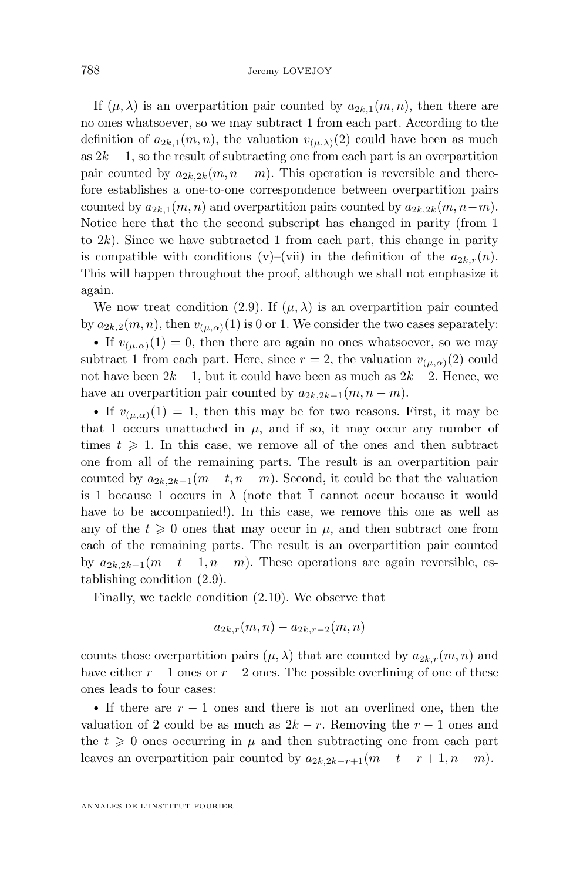If  $(\mu, \lambda)$  is an overpartition pair counted by  $a_{2k,1}(m, n)$ , then there are no ones whatsoever, so we may subtract 1 from each part. According to the definition of  $a_{2k,1}(m, n)$ , the valuation  $v_{(\mu,\lambda)}(2)$  could have been as much as  $2k - 1$ , so the result of subtracting one from each part is an overpartition pair counted by  $a_{2k,2k}(m, n-m)$ . This operation is reversible and therefore establishes a one-to-one correspondence between overpartition pairs counted by  $a_{2k,1}(m, n)$  and overpartition pairs counted by  $a_{2k,2k}(m, n-m)$ . Notice here that the the second subscript has changed in parity (from 1 to  $2k$ ). Since we have subtracted 1 from each part, this change in parity is compatible with conditions (v)–(vii) in the definition of the  $a_{2k,r}(n)$ . This will happen throughout the proof, although we shall not emphasize it again.

We now treat condition [\(2.9\)](#page-7-0). If  $(\mu, \lambda)$  is an overpartition pair counted by  $a_{2k,2}(m, n)$ , then  $v_{(\mu,\alpha)}(1)$  is 0 or 1. We consider the two cases separately:

• If  $v_{(\mu,\alpha)}(1) = 0$ , then there are again no ones whatsoever, so we may subtract 1 from each part. Here, since  $r = 2$ , the valuation  $v_{(\mu,\alpha)}(2)$  could not have been  $2k - 1$ , but it could have been as much as  $2k - 2$ . Hence, we have an overpartition pair counted by  $a_{2k,2k-1}(m, n-m)$ .

• If  $v_{(\mu,\alpha)}(1) = 1$ , then this may be for two reasons. First, it may be that 1 occurs unattached in  $\mu$ , and if so, it may occur any number of times  $t \geqslant 1$ . In this case, we remove all of the ones and then subtract one from all of the remaining parts. The result is an overpartition pair counted by  $a_{2k,2k-1}(m-t,n-m)$ . Second, it could be that the valuation is 1 because 1 occurs in  $\lambda$  (note that  $\overline{1}$  cannot occur because it would have to be accompanied!). In this case, we remove this one as well as any of the  $t \geqslant 0$  ones that may occur in  $\mu$ , and then subtract one from each of the remaining parts. The result is an overpartition pair counted by  $a_{2k,2k-1}(m-t-1,n-m)$ . These operations are again reversible, establishing condition (2.9).

Finally, we tackle condition [\(2.10\)](#page-7-0). We observe that

$$
a_{2k,r}(m,n) - a_{2k,r-2}(m,n)
$$

counts those overpartition pairs  $(\mu, \lambda)$  that are counted by  $a_{2k,r}(m, n)$  and have either  $r - 1$  ones or  $r - 2$  ones. The possible overlining of one of these ones leads to four cases:

• If there are  $r - 1$  ones and there is not an overlined one, then the valuation of 2 could be as much as  $2k - r$ . Removing the  $r - 1$  ones and the  $t \geq 0$  ones occurring in  $\mu$  and then subtracting one from each part leaves an overpartition pair counted by  $a_{2k,2k-r+1}(m-t-r+1,n-m)$ .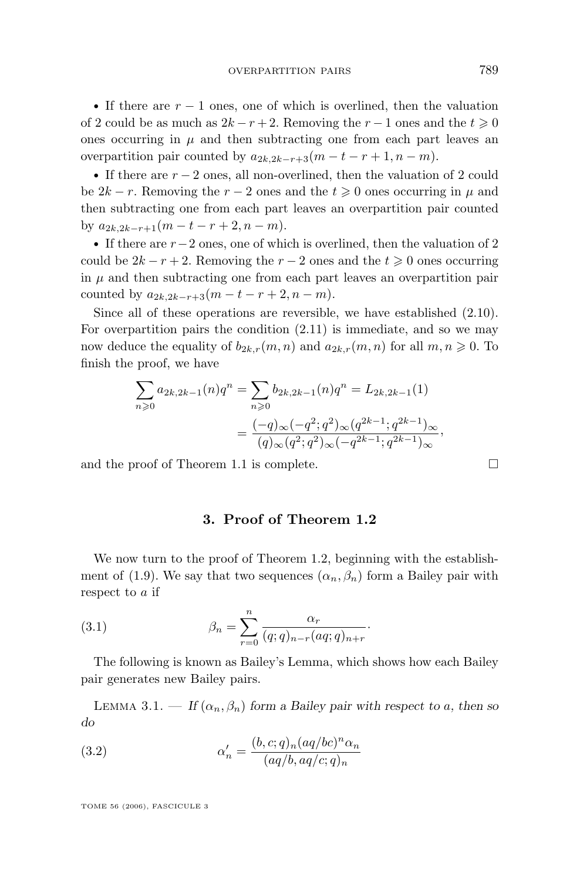• If there are  $r - 1$  ones, one of which is overlined, then the valuation of 2 could be as much as  $2k - r + 2$ . Removing the  $r - 1$  ones and the  $t \ge 0$ ones occurring in  $\mu$  and then subtracting one from each part leaves an overpartition pair counted by  $a_{2k,2k-r+3}(m-t-r+1,n-m)$ .

• If there are  $r - 2$  ones, all non-overlined, then the valuation of 2 could be  $2k - r$ . Removing the  $r - 2$  ones and the  $t \geq 0$  ones occurring in  $\mu$  and then subtracting one from each part leaves an overpartition pair counted by  $a_{2k,2k-r+1}(m-t-r+2,n-m)$ .

• If there are  $r-2$  ones, one of which is overlined, then the valuation of 2 could be  $2k - r + 2$ . Removing the  $r - 2$  ones and the  $t \geq 0$  ones occurring in  $\mu$  and then subtracting one from each part leaves an overpartition pair counted by  $a_{2k,2k-r+3}(m-t-r+2,n-m)$ .

Since all of these operations are reversible, we have established [\(2.10\)](#page-7-0). For overpartition pairs the condition [\(2.11\)](#page-7-0) is immediate, and so we may now deduce the equality of  $b_{2k,r}(m, n)$  and  $a_{2k,r}(m, n)$  for all  $m, n \geq 0$ . To finish the proof, we have

$$
\sum_{n\geqslant 0} a_{2k,2k-1}(n)q^n = \sum_{n\geqslant 0} b_{2k,2k-1}(n)q^n = L_{2k,2k-1}(1)
$$

$$
= \frac{(-q)_{\infty}(-q^2;q^2)_{\infty}(q^{2k-1};q^{2k-1})_{\infty}}{(q)_{\infty}(q^2;q^2)_{\infty}(-q^{2k-1};q^{2k-1})_{\infty}},
$$

and the proof of Theorem [1.1](#page-3-0) is complete.  $\Box$ 

#### **3. Proof of Theorem [1.2](#page-5-0)**

We now turn to the proof of Theorem [1.2,](#page-5-0) beginning with the establish-ment of [\(1.9\)](#page-4-0). We say that two sequences  $(\alpha_n, \beta_n)$  form a Bailey pair with respect to a if

(3.1) 
$$
\beta_n = \sum_{r=0}^n \frac{\alpha_r}{(q;q)_{n-r}(aq;q)_{n+r}}.
$$

The following is known as Bailey's Lemma, which shows how each Bailey pair generates new Bailey pairs.

LEMMA 3.1. — *If*  $(\alpha_n, \beta_n)$  form a Bailey pair with respect to a, then so *do*

(3.2) 
$$
\alpha'_n = \frac{(b, c; q)_n (aq/bc)^n \alpha_n}{(aq/b, aq/c; q)_n}
$$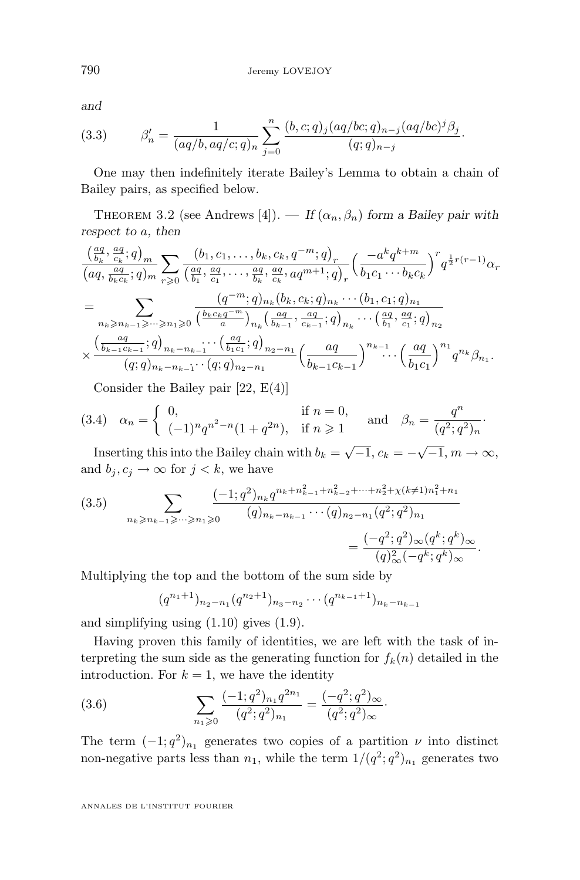*and*

(3.3) 
$$
\beta'_n = \frac{1}{(aq/b, aq/c; q)_n} \sum_{j=0}^n \frac{(b, c; q)_j (aq/bc; q)_{n-j} (aq/bc)^j \beta_j}{(q; q)_{n-j}}.
$$

One may then indefinitely iterate Bailey's Lemma to obtain a chain of Bailey pairs, as specified below.

THEOREM 3.2 (see Andrews [\[4\]](#page-13-0)). — *If*  $(\alpha_n, \beta_n)$  *form a Bailey pair with respect to* a*, then*

$$
\frac{\left(\frac{aq}{bk}, \frac{aq}{ck}; q\right)_{m}}{\left(aq, \frac{aq}{bk}, q\right)_{m}} \sum_{r \geq 0} \frac{\left(b_1, c_1, \ldots, b_k, c_k, q^{-m}; q\right)_{r}}{\left(\frac{aq}{b_1}, \frac{aq}{c_1}, q\right)_{m}} \left(\frac{-a^k q^{k+m}}{b_1 c_1 \cdots b_k c_k}\right)^{r} q^{\frac{1}{2}r(r-1)} \alpha_r
$$
\n
$$
= \sum_{\substack{n_k \geq n_{k-1} \geq \cdots \geq n_1 \geq 0}} \frac{\left(q^{-m}; q\right)_{n_k} (b_k, c_k; q)_{n_k} \cdots \left(b_1, c_1; q\right)_{n_1}}{\left(\frac{b_k c_k q^{-m}}{a}\right)_{n_k} \left(\frac{aq}{b_{k-1}}, \frac{aq}{c_{k-1}}; q\right)_{n_k} \cdots \left(\frac{aq}{b_1}, \frac{aq}{c_1}; q\right)_{n_2}} \times \frac{\left(\frac{aq}{b_{k-1} c_{k-1}}; q\right)_{n_k - n_{k-1}} \cdots \left(\frac{aq}{b_1 c_1}; q\right)_{n_2 - n_1}}{\left(q; q\right)_{n_k - n_{k-1}} \cdots \left(q; q\right)_{n_2 - n_1}} \left(\frac{aq}{b_{k-1} c_{k-1}}\right)^{n_{k-1}} \cdots \left(\frac{aq}{b_1 c_1}\right)^{n_1} q^{n_k} \beta_{n_1}.
$$

Consider the Bailey pair [\[22,](#page-14-0) E(4)]

(3.4) 
$$
\alpha_n = \begin{cases} 0, & \text{if } n = 0, \\ (-1)^n q^{n^2 - n} (1 + q^{2n}), & \text{if } n \ge 1 \end{cases}
$$
 and  $\beta_n = \frac{q^n}{(q^2; q^2)_n}$ .

Inserting this into the Bailey chain with  $b_k = \sqrt{-1}$ ,  $c_k = -\sqrt{-1}$ ,  $m \to \infty$ , and  $b_j, c_j \to \infty$  for  $j < k$ , we have

$$
(3.5) \qquad \sum_{n_k \geqslant n_{k-1} \geqslant \cdots \geqslant n_1 \geqslant 0} \frac{(-1;q^2)_{n_k} q^{n_k + n_{k-1}^2 + n_{k-2}^2 + \cdots + n_2^2 + \chi(k \neq 1) n_1^2 + n_1}}{(q)_{n_k - n_{k-1}} \cdots (q)_{n_2 - n_1} (q^2;q^2)_{n_1}} = \frac{(-q^2;q^2)_{\infty} (q^k;q^k)_{\infty}}{(q)_{\infty}^2 (-q^k;q^k)_{\infty}}.
$$

Multiplying the top and the bottom of the sum side by

$$
(q^{n_1+1})_{n_2-n_1}(q^{n_2+1})_{n_3-n_2}\cdots(q^{n_{k-1}+1})_{n_k-n_{k-1}}
$$

and simplifying using [\(1.10\)](#page-4-0) gives [\(1.9\)](#page-4-0).

Having proven this family of identities, we are left with the task of interpreting the sum side as the generating function for  $f_k(n)$  detailed in the introduction. For  $k = 1$ , we have the identity

(3.6) 
$$
\sum_{n_1 \geqslant 0} \frac{(-1;q^2)_{n_1} q^{2n_1}}{(q^2;q^2)_{n_1}} = \frac{(-q^2;q^2)_{\infty}}{(q^2;q^2)_{\infty}}.
$$

The term  $(-1; q^2)_{n_1}$  generates two copies of a partition  $\nu$  into distinct non-negative parts less than  $n_1$ , while the term  $1/(q^2; q^2)_{n_1}$  generates two

ANNALES DE L'INSTITUT FOURIER

<span id="page-10-0"></span>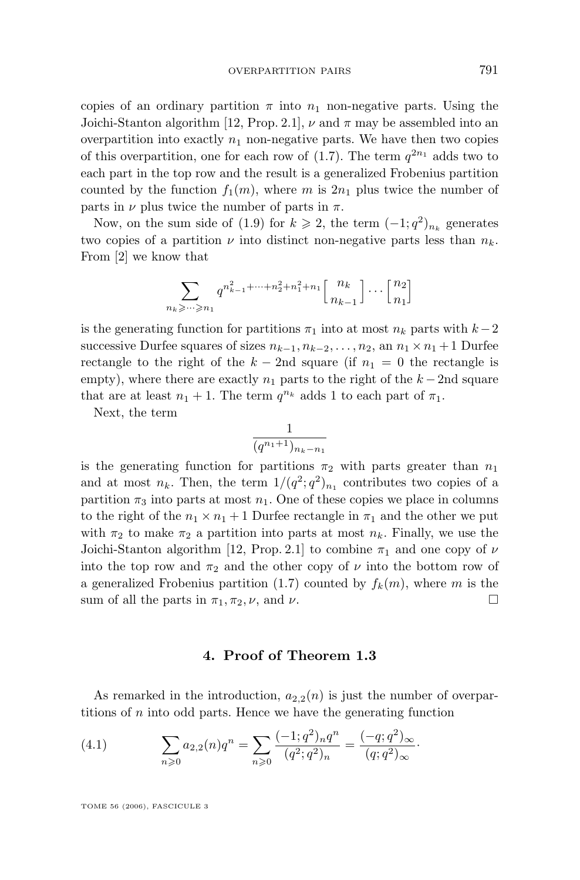copies of an ordinary partition  $\pi$  into  $n_1$  non-negative parts. Using the Joichi-Stanton algorithm [\[12,](#page-13-0) Prop. 2.1],  $\nu$  and  $\pi$  may be assembled into an overpartition into exactly  $n_1$  non-negative parts. We have then two copies of this overpartition, one for each row of  $(1.7)$ . The term  $q^{2n_1}$  adds two to each part in the top row and the result is a generalized Frobenius partition counted by the function  $f_1(m)$ , where m is  $2n_1$  plus twice the number of parts in  $\nu$  plus twice the number of parts in  $\pi$ .

Now, on the sum side of [\(1.9\)](#page-4-0) for  $k \ge 2$ , the term  $(-1; q^2)_{n_k}$  generates two copies of a partition  $\nu$  into distinct non-negative parts less than  $n_k$ . From [\[2\]](#page-13-0) we know that

$$
\sum_{n_k \geqslant \cdots \geqslant n_1} q^{n_{k-1}^2 + \cdots + n_2^2 + n_1^2 + n_1} \left[ \begin{array}{c} n_k \\ n_{k-1} \end{array} \right] \cdots \left[ \begin{array}{c} n_2 \\ n_1 \end{array} \right]
$$

is the generating function for partitions  $\pi_1$  into at most  $n_k$  parts with  $k-2$ successive Durfee squares of sizes  $n_{k-1}, n_{k-2}, \ldots, n_2$ , an  $n_1 \times n_1 + 1$  Durfee rectangle to the right of the  $k - 2$ nd square (if  $n_1 = 0$  the rectangle is empty), where there are exactly  $n_1$  parts to the right of the  $k - 2n$ d square that are at least  $n_1 + 1$ . The term  $q^{n_k}$  adds 1 to each part of  $\pi_1$ .

Next, the term

$$
\frac{1}{(q^{n_1+1})_{n_k-n_1}}
$$

is the generating function for partitions  $\pi_2$  with parts greater than  $n_1$ and at most  $n_k$ . Then, the term  $1/(q^2; q^2)_{n_1}$  contributes two copies of a partition  $\pi_3$  into parts at most  $n_1$ . One of these copies we place in columns to the right of the  $n_1 \times n_1 + 1$  Durfee rectangle in  $\pi_1$  and the other we put with  $\pi_2$  to make  $\pi_2$  a partition into parts at most  $n_k$ . Finally, we use the Joichi-Stanton algorithm [\[12,](#page-13-0) Prop. 2.1] to combine  $\pi_1$  and one copy of  $\nu$ into the top row and  $\pi_2$  and the other copy of  $\nu$  into the bottom row of a generalized Frobenius partition [\(1.7\)](#page-2-0) counted by  $f_k(m)$ , where m is the sum of all the parts in  $\pi_1$ ,  $\pi_2$ ,  $\nu$ , and  $\nu$ .

#### **4. Proof of Theorem [1.3](#page-5-0)**

As remarked in the introduction,  $a_{2,2}(n)$  is just the number of overpartitions of n into odd parts. Hence we have the generating function

(4.1) 
$$
\sum_{n\geqslant 0} a_{2,2}(n)q^n = \sum_{n\geqslant 0} \frac{(-1;q^2)_n q^n}{(q^2;q^2)_n} = \frac{(-q;q^2)_{\infty}}{(q;q^2)_{\infty}}.
$$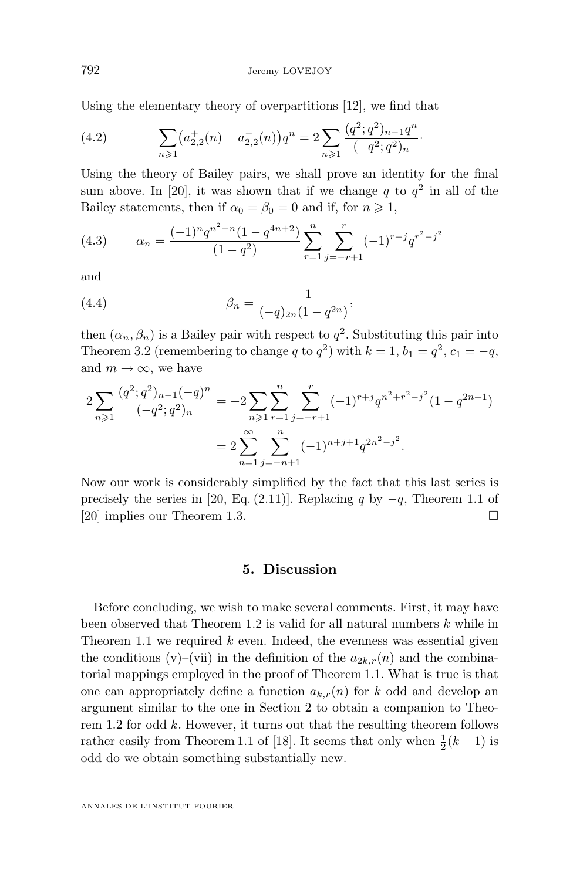Using the elementary theory of overpartitions [\[12\]](#page-13-0), we find that

(4.2) 
$$
\sum_{n\geqslant 1} \left(a_{2,2}^+(n) - a_{2,2}^-(n)\right)q^n = 2\sum_{n\geqslant 1} \frac{(q^2;q^2)_{n-1}q^n}{(-q^2;q^2)_n}
$$

Using the theory of Bailey pairs, we shall prove an identity for the final sum above. In [\[20\]](#page-14-0), it was shown that if we change q to  $q^2$  in all of the Bailey statements, then if  $\alpha_0 = \beta_0 = 0$  and if, for  $n \ge 1$ ,

·

(4.3) 
$$
\alpha_n = \frac{(-1)^n q^{n^2 - n} (1 - q^{4n + 2})}{(1 - q^2)} \sum_{r=1}^n \sum_{j=-r+1}^r (-1)^{r+j} q^{r^2 - j^2}
$$

and

(4.4) 
$$
\beta_n = \frac{-1}{(-q)_{2n}(1-q^{2n})},
$$

then  $(\alpha_n, \beta_n)$  is a Bailey pair with respect to  $q^2$ . Substituting this pair into Theorem [3.2](#page-10-0) (remembering to change q to  $q^2$ ) with  $k = 1$ ,  $b_1 = q^2$ ,  $c_1 = -q$ , and  $m \to \infty$ , we have

$$
2\sum_{n\geqslant 1} \frac{(q^2;q^2)_{n-1}(-q)^n}{(-q^2;q^2)_n} = -2\sum_{n\geqslant 1} \sum_{r=1}^n \sum_{j=-r+1}^r (-1)^{r+j} q^{n^2+r^2-j^2} (1-q^{2n+1})
$$
  
= 
$$
2\sum_{n=1}^\infty \sum_{j=-n+1}^n (-1)^{n+j+1} q^{2n^2-j^2}.
$$

Now our work is considerably simplified by the fact that this last series is precisely the series in [\[20,](#page-14-0) Eq. (2.11)]. Replacing q by  $-q$ , Theorem 1.1 of [\[20\]](#page-14-0) implies our Theorem [1.3.](#page-5-0)

#### **5. Discussion**

Before concluding, we wish to make several comments. First, it may have been observed that Theorem [1.2](#page-5-0) is valid for all natural numbers  $k$  while in Theorem [1.1](#page-3-0) we required  $k$  even. Indeed, the evenness was essential given the conditions (v)–(vii) in the definition of the  $a_{2k,r}(n)$  and the combinatorial mappings employed in the proof of Theorem [1.1.](#page-3-0) What is true is that one can appropriately define a function  $a_{k,r}(n)$  for k odd and develop an argument similar to the one in Section 2 to obtain a companion to Theo-rem [1.2](#page-5-0) for odd  $k$ . However, it turns out that the resulting theorem follows rather easily from Theorem 1.1 of [\[18\]](#page-14-0). It seems that only when  $\frac{1}{2}(k-1)$  is odd do we obtain something substantially new.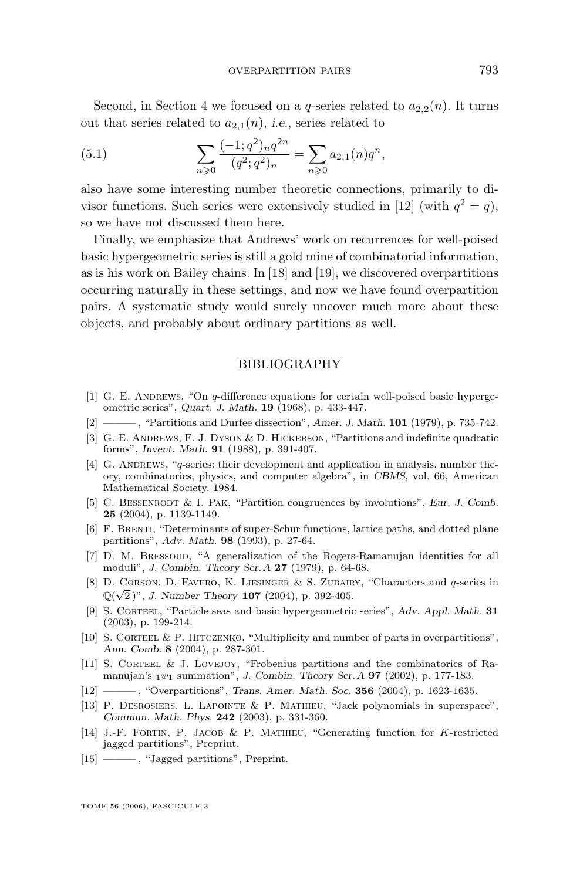<span id="page-13-0"></span>Second, in Section 4 we focused on a q-series related to  $a_{2,2}(n)$ . It turns out that series related to  $a_{2,1}(n)$ , *i.e.*, series related to

(5.1) 
$$
\sum_{n\geqslant 0} \frac{(-1;q^2)_n q^{2n}}{(q^2;q^2)_n} = \sum_{n\geqslant 0} a_{2,1}(n) q^n,
$$

also have some interesting number theoretic connections, primarily to divisor functions. Such series were extensively studied in [12] (with  $q^2 = q$ ), so we have not discussed them here.

Finally, we emphasize that Andrews' work on recurrences for well-poised basic hypergeometric series is still a gold mine of combinatorial information, as is his work on Bailey chains. In [\[18\]](#page-14-0) and [\[19\]](#page-14-0), we discovered overpartitions occurring naturally in these settings, and now we have found overpartition pairs. A systematic study would surely uncover much more about these objects, and probably about ordinary partitions as well.

#### BIBLIOGRAPHY

- [1] G. E. ANDREWS, "On  $q$ -difference equations for certain well-poised basic hypergeometric series", *Quart. J. Math.* **19** (1968), p. 433-447.
- [2] ——— , "Partitions and Durfee dissection", *Amer. J. Math.* **101** (1979), p. 735-742.
- [3] G. E. Andrews, F. J. Dyson & D. Hickerson, "Partitions and indefinite quadratic forms", *Invent. Math.* **91** (1988), p. 391-407.
- [4] G. ANDREWS, "q-series: their development and application in analysis, number theory, combinatorics, physics, and computer algebra", in *CBMS*, vol. 66, American Mathematical Society, 1984.
- [5] C. BESSENRODT & I. PAK, "Partition congruences by involutions", *Eur. J. Comb.* **25** (2004), p. 1139-1149.
- [6] F. Brenti, "Determinants of super-Schur functions, lattice paths, and dotted plane partitions", *Adv. Math.* **98** (1993), p. 27-64.
- [7] D. M. Bressoud, "A generalization of the Rogers-Ramanujan identities for all moduli", *J. Combin. Theory Ser.A* **27** (1979), p. 64-68.
- [8] D. CORSON, D. FAVERO, K. LIESINGER & S. ZUBAIRY, "Characters and q-series in  $\mathbb{Q}(\sqrt{2})$ ", *J. Number Theory* **107** (2004), p. 392-405.
- [9] S. Corteel, "Particle seas and basic hypergeometric series", *Adv. Appl. Math.* **31** (2003), p. 199-214.
- [10] S. CORTEEL & P. HITCZENKO, "Multiplicity and number of parts in overpartitions", *Ann. Comb.* **8** (2004), p. 287-301.
- [11] S. CORTEEL & J. LOVEJOY, "Frobenius partitions and the combinatorics of Ramanujan's <sup>1</sup>ψ<sup>1</sup> summation", *J. Combin. Theory Ser.A* **97** (2002), p. 177-183.
- [12] ——— , "Overpartitions", *Trans. Amer. Math. Soc.* **356** (2004), p. 1623-1635.
- [13] P. Desrosiers, L. Lapointe & P. Mathieu, "Jack polynomials in superspace", *Commun. Math. Phys.* **242** (2003), p. 331-360.
- [14] J.-F. FORTIN, P. JACOB & P. MATHIEU, "Generating function for K-restricted jagged partitions", Preprint.
- [15] ———, "Jagged partitions", Preprint.